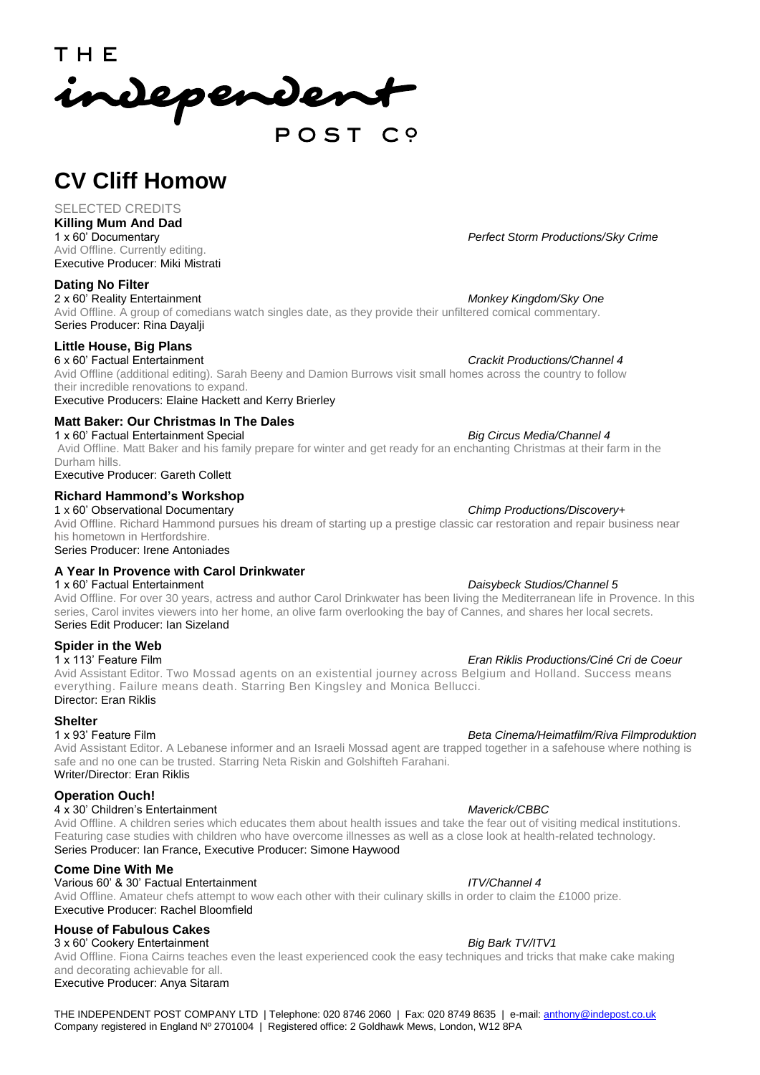THE independent POST

# **CV Cliff Homow**

## SELECTED CREDITS

**Killing Mum And Dad**  Avid Offline. Currently editing. Executive Producer: Miki Mistrati

## **Dating No Filter**

2 x 60' Reality Entertainment *Monkey Kingdom/Sky One* Avid Offline. A group of comedians watch singles date, as they provide their unfiltered comical commentary. Series Producer: Rina Dayalji

## **Little House, Big Plans**

6 x 60' Factual Entertainment *Crackit Productions/Channel 4* Avid Offline (additional editing). Sarah Beeny and Damion Burrows visit small homes across the country to follow their incredible renovations to expand.

Executive Producers: Elaine Hackett and Kerry Brierley

## **Matt Baker: Our Christmas In The Dales**

1 x 60' Factual Entertainment Special *Big Circus Media/Channel 4* Avid Offline. Matt Baker and his family prepare for winter and get ready for an enchanting Christmas at their farm in the Durham hills.

Executive Producer: Gareth Collett

## **Richard Hammond's Workshop**

1 x 60' Observational Documentary *Chimp Productions/Discovery+* Avid Offline. Richard Hammond pursues his dream of starting up a prestige classic car restoration and repair business near his hometown in Hertfordshire.

Series Producer: Irene Antoniades

## **A Year In Provence with Carol Drinkwater**

Avid Offline. For over 30 years, actress and author Carol Drinkwater has been living the Mediterranean life in Provence. In this series, Carol invites viewers into her home, an olive farm overlooking the bay of Cannes, and shares her local secrets. Series Edit Producer: Ian Sizeland

## **Spider in the Web**

1 x 113' Feature Film *Eran Riklis Productions/Ciné Cri de Coeur* Avid Assistant Editor. Two Mossad agents on an existential journey across Belgium and Holland. Success means everything. Failure means death. Starring Ben Kingsley and Monica Bellucci. Director: Eran Riklis

# **Shelter**<br>1 x 93' Feature Film

Avid Assistant Editor. A Lebanese informer and an Israeli Mossad agent are trapped together in a safehouse where nothing is safe and no one can be trusted. Starring Neta Riskin and Golshifteh Farahani. Writer/Director: Eran Riklis

## **Operation Ouch!**

## 4 x 30' Children's Entertainment *Maverick/CBBC*

Avid Offline. A children series which educates them about health issues and take the fear out of visiting medical institutions. Featuring case studies with children who have overcome illnesses as well as a close look at health-related technology. Series Producer: Ian France, Executive Producer: Simone Haywood

## **Come Dine With Me**

## Various 60' & 30' Factual Entertainment *ITV/Channel 4*

Avid Offline. Amateur chefs attempt to wow each other with their culinary skills in order to claim the £1000 prize. Executive Producer: Rachel Bloomfield

## **House of Fabulous Cakes**

3 x 60' Cookery Entertainment *Big Bark TV/ITV1*

Avid Offline. Fiona Cairns teaches even the least experienced cook the easy techniques and tricks that make cake making and decorating achievable for all. Executive Producer: Anya Sitaram

THE INDEPENDENT POST COMPANY LTD | Telephone: 020 8746 2060 | Fax: 020 8749 8635 | e-mail: [anthony@indepost.co.uk](mailto:anthony@indepost.co.uk) Company registered in England Nº 2701004 | Registered office: 2 Goldhawk Mews, London, W12 8PA

**Perfect Storm Productions/Sky Crime** 

## 1 x 60' Factual Entertainment *Daisybeck Studios/Channel 5*

## 1 x 93' Feature Film *Beta Cinema/Heimatfilm/Riva Filmproduktion*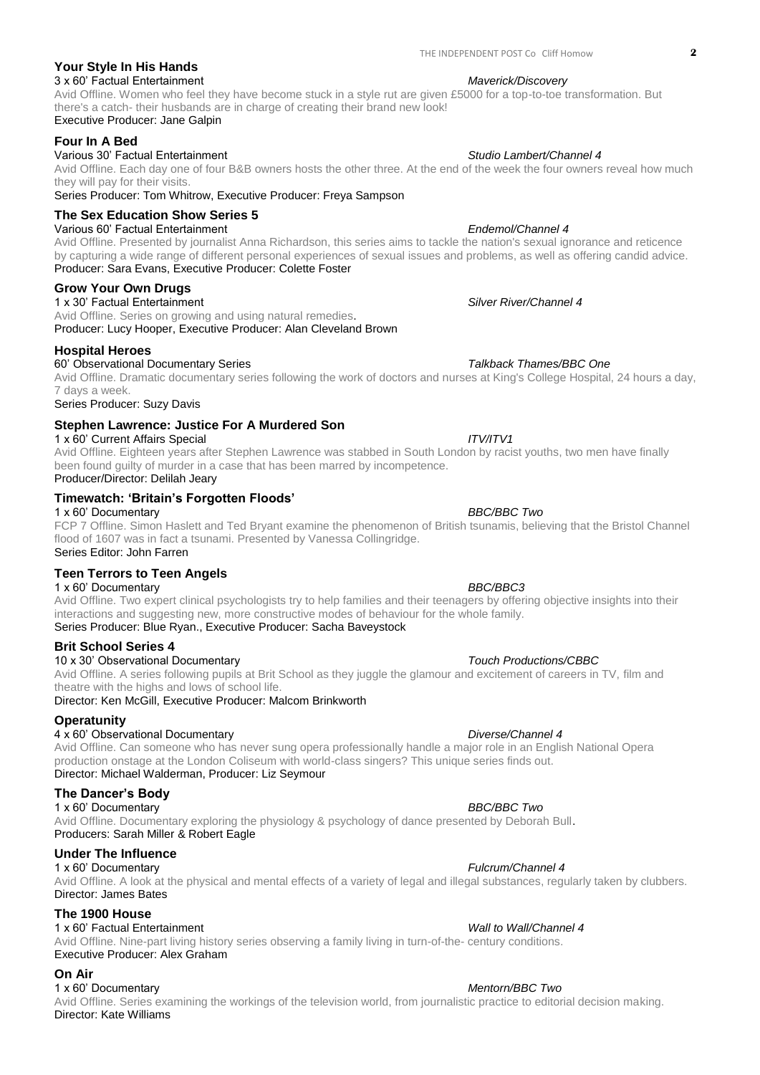## **Your Style In His Hands**

3 x 60' Factual Entertainment *Maverick/Discovery* Avid Offline. Women who feel they have become stuck in a style rut are given £5000 for a top-to-toe transformation. But there's a catch- their husbands are in charge of creating their brand new look! Executive Producer: Jane Galpin

## **Four In A Bed**

## Various 30' Factual Entertainment *Studio Lambert/Channel 4*

Avid Offline. Each day one of four B&B owners hosts the other three. At the end of the week the four owners reveal how much they will pay for their visits.

Series Producer: Tom Whitrow, Executive Producer: Freya Sampson

## **The Sex Education Show Series 5**

Various 60' Factual Entertainment *Endemol/Channel 4*

Avid Offline. Presented by journalist Anna Richardson, this series aims to tackle the nation's sexual ignorance and reticence by capturing a wide range of different personal experiences of sexual issues and problems, as well as offering candid advice. Producer: Sara Evans, Executive Producer: Colette Foster

## **Grow Your Own Drugs**

1 x 30' Factual Entertainment *Silver River/Channel 4*

Avid Offline. Series on growing and using natural remedies. Producer: Lucy Hooper, Executive Producer: Alan Cleveland Brown

## **Hospital Heroes**

60' Observational Documentary Series *Talkback Thames/BBC One*

Avid Offline. Dramatic documentary series following the work of doctors and nurses at King's College Hospital, 24 hours a day, 7 days a week.

Series Producer: Suzy Davis

## **Stephen Lawrence: Justice For A Murdered Son**

1 x 60' Current Affairs Special *ITV/ITV1* Avid Offline. Eighteen years after Stephen Lawrence was stabbed in South London by racist youths, two men have finally been found guilty of murder in a case that has been marred by incompetence. Producer/Director: Delilah Jeary

## **Timewatch: 'Britain's Forgotten Floods'**

1 x 60' Documentary *BBC/BBC Two*  FCP 7 Offline. Simon Haslett and Ted Bryant examine the phenomenon of British tsunamis, believing that the Bristol Channel flood of 1607 was in fact a tsunami. Presented by Vanessa Collingridge. Series Editor: John Farren

## **Teen Terrors to Teen Angels**

## 1 x 60' Documentary *BBC/BBC3*

Avid Offline. Two expert clinical psychologists try to help families and their teenagers by offering objective insights into their interactions and suggesting new, more constructive modes of behaviour for the whole family. Series Producer: Blue Ryan., Executive Producer: Sacha Baveystock

## **Brit School Series 4**

## 10 x 30' Observational Documentary *Touch Productions/CBBC*

Avid Offline. A series following pupils at Brit School as they juggle the glamour and excitement of careers in TV, film and theatre with the highs and lows of school life.

Director: Ken McGill, Executive Producer: Malcom Brinkworth

## **Operatunity**

## 4 x 60' Observational Documentary *Diverse/Channel 4*

Avid Offline. Can someone who has never sung opera professionally handle a major role in an English National Opera production onstage at the London Coliseum with world-class singers? This unique series finds out. Director: Michael Walderman, Producer: Liz Seymour

## **The Dancer's Body**

1 x 60' Documentary *BBC/BBC Two*  Avid Offline. Documentary exploring the physiology & psychology of dance presented by Deborah Bull. Producers: Sarah Miller & Robert Eagle

## **Under The Influence**

1 x 60' Documentary *Fulcrum/Channel 4* Avid Offline. A look at the physical and mental effects of a variety of legal and illegal substances, regularly taken by clubbers. Director: James Bates

## **The 1900 House**

## 1 x 60' Factual Entertainment *Wall to Wall/Channel 4*

Avid Offline. Nine-part living history series observing a family living in turn-of-the- century conditions. Executive Producer: Alex Graham

## **On Air**

## 1 x 60' Documentary *Mentorn/BBC Two*

Avid Offline. Series examining the workings of the television world, from journalistic practice to editorial decision making. Director: Kate Williams